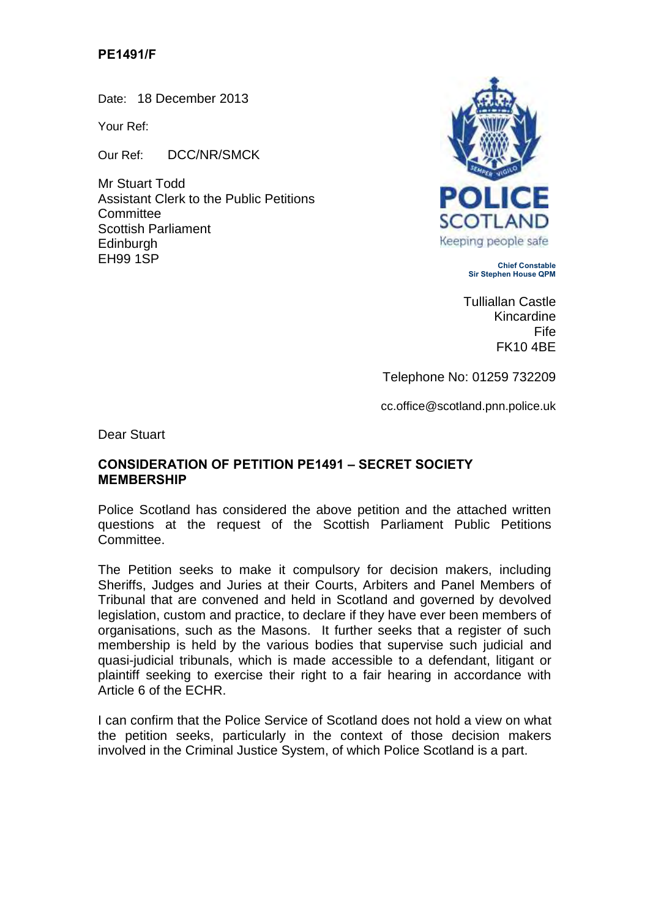## **PE1491/F**

Date: 18 December 2013

Your Ref:

Our Ref: DCC/NR/SMCK

Mr Stuart Todd Assistant Clerk to the Public Petitions **Committee** Scottish Parliament Edinburgh<br>FH99 1SP EH99 1SP **Chief Constable**



**Sir Stephen House QPM**

Tulliallan Castle Kincardine Fife FK10 4BE

Telephone No: 01259 732209

cc.office@scotland.pnn.police.uk

Dear Stuart

## **CONSIDERATION OF PETITION PE1491 – SECRET SOCIETY MEMBERSHIP**

Police Scotland has considered the above petition and the attached written questions at the request of the Scottish Parliament Public Petitions Committee.

The Petition seeks to make it compulsory for decision makers, including Sheriffs, Judges and Juries at their Courts, Arbiters and Panel Members of Tribunal that are convened and held in Scotland and governed by devolved legislation, custom and practice, to declare if they have ever been members of organisations, such as the Masons. It further seeks that a register of such membership is held by the various bodies that supervise such judicial and quasi-judicial tribunals, which is made accessible to a defendant, litigant or plaintiff seeking to exercise their right to a fair hearing in accordance with Article 6 of the ECHR.

I can confirm that the Police Service of Scotland does not hold a view on what the petition seeks, particularly in the context of those decision makers involved in the Criminal Justice System, of which Police Scotland is a part.